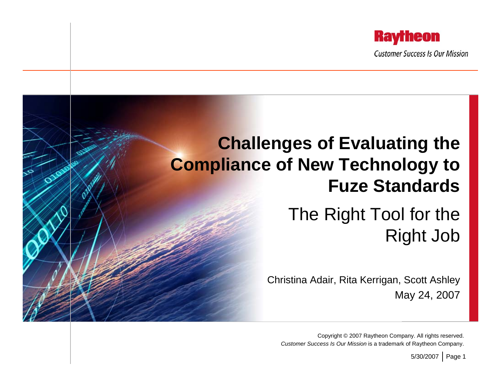

## **Challenges of Evaluating the Compliance of New Technology to Fuze Standards**

#### The Right Tool for the Right Job

Christina Adair, Rita Kerrigan, Scott Ashley May 24, 2007

Copyright © 2007 Raytheon Company. All rights reserved. *Customer Success Is Our Mission* is a trademark of Raytheon Company.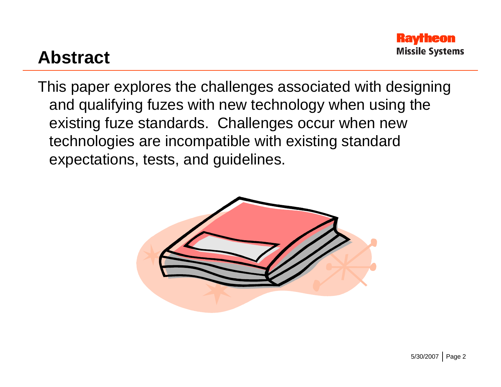

#### **Abstract**

This paper explores the challenges associated with designing and qualifying fuzes with new technology when using the existing fuze standards. Challenges occur when new technologies are incompatible with existing standard expectations, tests, and guidelines.

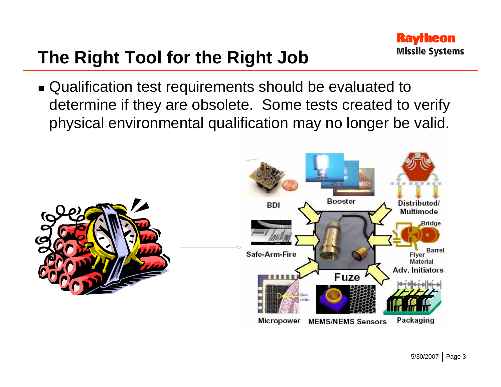# **The Right Tool for the Right Job**

■ Qualification test requirements should be evaluated to determine if they are obsolete. Some tests created to verify physical environmental qualification may no longer be valid.

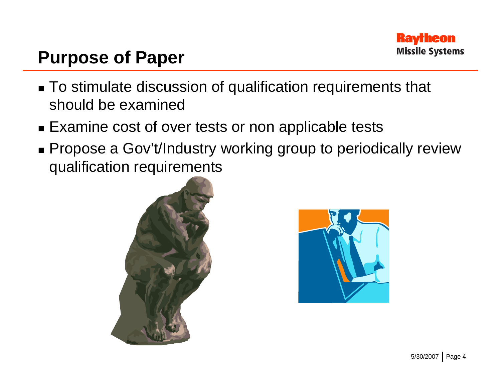

#### **Purpose of Paper**

- To stimulate discussion of qualification requirements that should be examined
- Examine cost of over tests or non applicable tests
- Propose a Gov't/Industry working group to periodically review qualification requirements



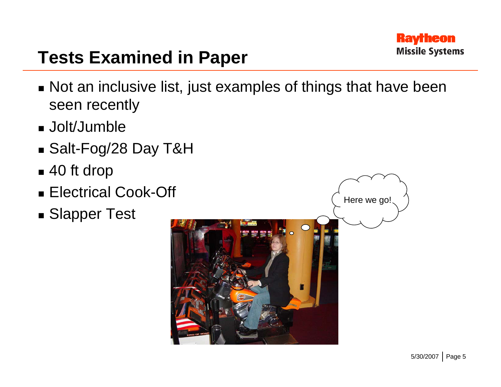

# **Tests Examined in Paper**

- Not an inclusive list, just examples of things that have been seen recently
- Jolt/Jumble
- Salt-Fog/28 Day T&H
- 40 ft drop
- Electrical Cook-Off
- Slapper Test

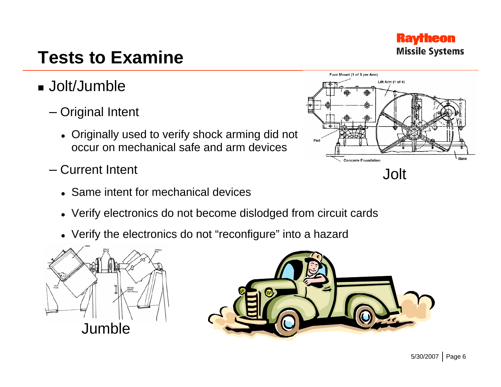# **Tests to Examine**

- Jolt/Jumble
	- Original Intent
		- Originally used to verify shock arming did not occur on mechanical safe and arm devices
	- Current Intent
		- Same intent for mechanical devices
		- Verify electronics do not become dislodged from circuit cards
		- Verify the electronics do not "reconfigure" into a hazard







#### **Raytheon Missile Systems**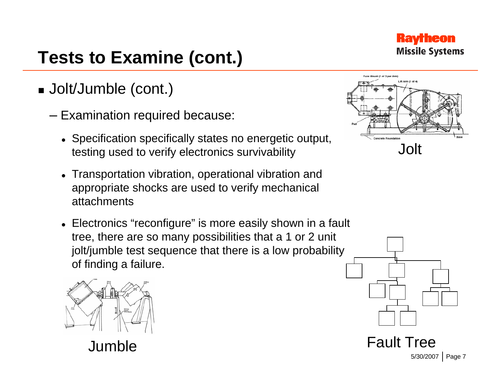

- Jolt/Jumble (cont.)
	- Examination required because:
		- Specification specifically states no energetic output, testing used to verify electronics survivability
		- Transportation vibration, operational vibration and appropriate shocks are used to verify mechanical attachments
		- Electronics "reconfigure" is more easily shown in a fault tree, there are so many possibilities that a 1 or 2 unit jolt/jumble test sequence that there is a low probability of finding a failure.



Jumble





Fault Tree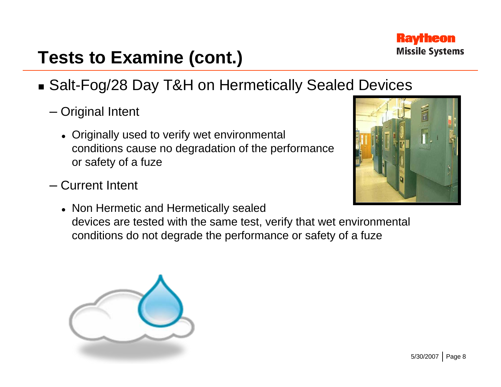

- Salt-Fog/28 Day T&H on Hermetically Sealed Devices
	- Original Intent
		- Originally used to verify wet environmental conditions cause no degradation of the performance or safety of a fuze
	- Current Intent
		- Non Hermetic and Hermetically sealed devices are tested with the same test, verify that wet environmental conditions do not degrade the performance or safety of a fuze



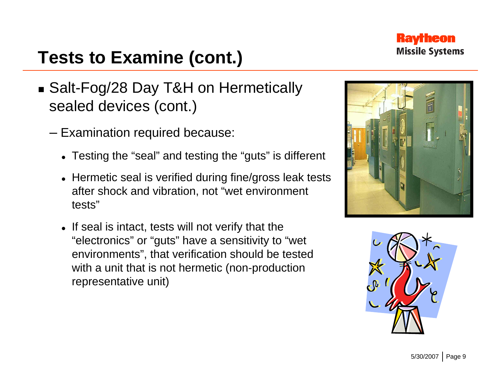

- Salt-Fog/28 Day T&H on Hermetically sealed devices (cont.)
	- Examination required because:
		- Testing the "seal" and testing the "guts" is different
		- Hermetic seal is verified during fine/gross leak tests after shock and vibration, not "wet environment tests"
		- $\bullet\,$  If seal is intact, tests will not verify that the "electronics" or "guts" have a sensitivity to "wet environments", that verification should be tested with a unit that is not hermetic (non-production representative unit)



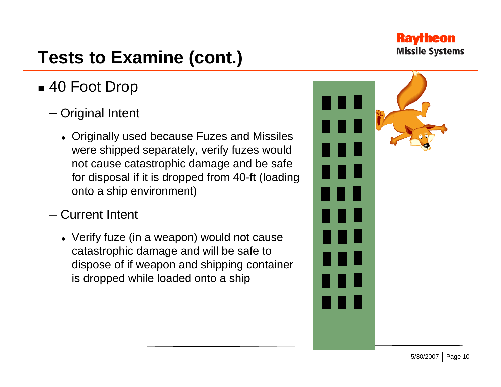

#### 40 Foot Drop

- Original Intent
	- Originally used because Fuzes and Missiles were shipped separately, verify fuzes would not cause catastrophic damage and be safe for disposal if it is dropped from 40-ft (loading onto a ship environment)
- Current Intent
	- $\bullet\,$  Verify fuze (in a weapon) would not cause catastrophic damage and will be safe to dispose of if weapon and shipping container is dropped while loaded onto a ship

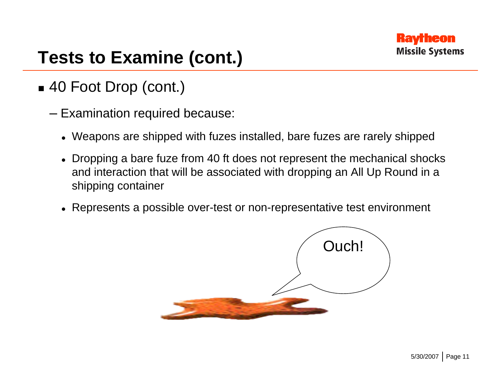

#### 40 Foot Drop (cont.)

- Examination required because:
	- $\bullet\,$  Weapons are shipped with fuzes installed, bare fuzes are rarely shipped
	- $\bullet$  Dropping a bare fuze from 40 ft does not represent the mechanical shocks and interaction that will be associated with dropping an All Up Round in a shipping container
	- $\bullet~$  Represents a possible over-test or non-representative test environment

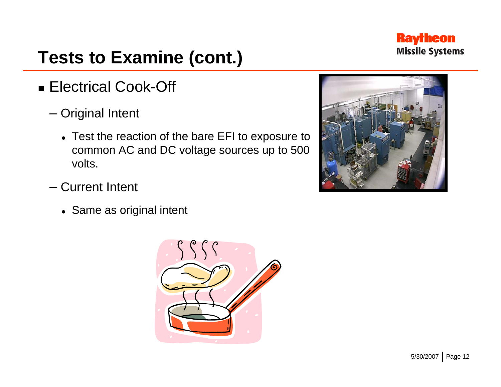

#### ■ Electrical Cook-Off

- Original Intent
	- Test the reaction of the bare EFI to exposure to common AC and DC voltage sources up to 500 volts.
- Current Intent
	- Same as original intent



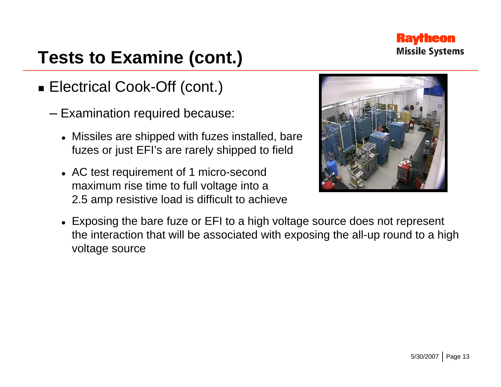

#### Electrical Cook-Off (cont.)

- Examination required because:
	- $\bullet$  Missiles are shipped with fuzes installed, bare fuzes or just EFI's are rarely shipped to field
	- AC test requirement of 1 micro-second maximum rise time to full voltage into a 2.5 amp resistive load is difficult to achieve



 $\bullet~$  Exposing the bare fuze or EFI to a high voltage source does not represent the interaction that will be associated with exposing the all-up round to a high voltage source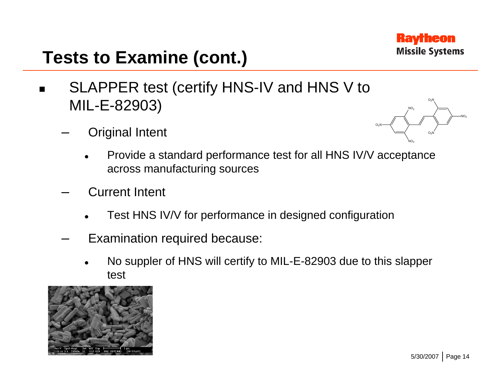

- $\blacksquare$  SLAPPER test (certify HNS-IV and HNS V to MIL-E-82903)
	- Original Intent
- O<sub>2</sub>N  $\mathsf{NO_2}$  $\rm O_2$ N  $\rm O_2$ N NO<sub>2</sub> NO<sub>2</sub>
- o Provide a standard performance test for all HNS IV/V acceptance across manufacturing sources
- Current Intent
	- o Test HNS IV/V for performance in designed configuration
- Examination required because:
	- o No suppler of HNS will certify to MIL-E-82903 due to this slapper test

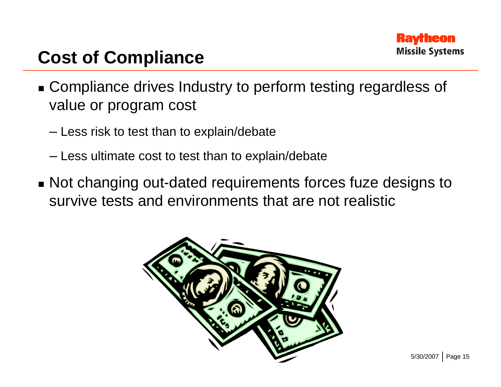

# **Cost of Compliance**

- Compliance drives Industry to perform testing regardless of value or program cost
	- Less risk to test than to explain/debate
	- Less ultimate cost to test than to explain/debate
- Not changing out-dated requirements forces fuze designs to survive tests and environments that are not realistic

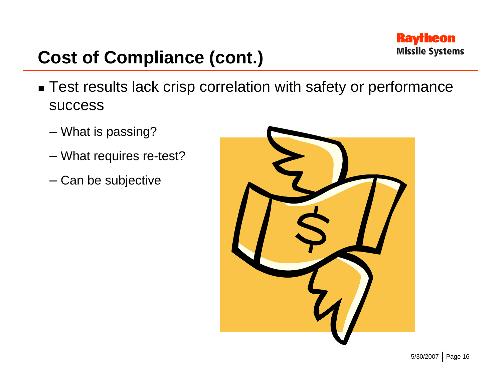

# **Cost of Compliance (cont.)**

- Test results lack crisp correlation with safety or performance success
	- What is passing?
	- What requires re-test?
	- Can be subjective

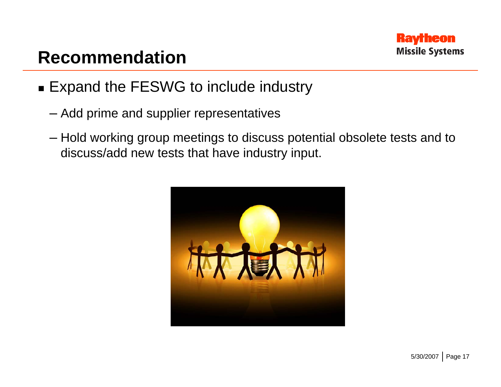

#### **Recommendation**

- Expand the FESWG to include industry
	- Add prime and supplier representatives
	- Hold working group meetings to discuss potential obsolete tests and to discuss/add new tests that have industry input.